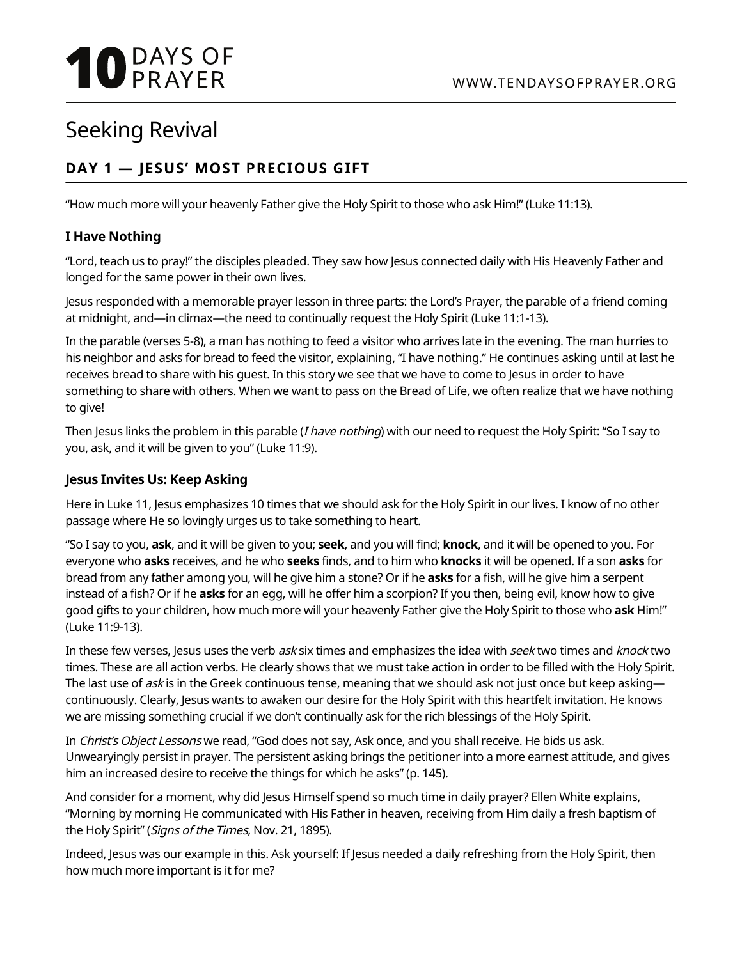# **10** DAYS OF

## Seeking Revival

### **DAY 1 — JESUS' MOST PRECIOUS GIFT**

"How much more will your heavenly Father give the Holy Spirit to those who ask Him!" (Luke 11:13).

#### **I Have Nothing**

"Lord, teach us to pray!" the disciples pleaded. They saw how Jesus connected daily with His Heavenly Father and longed for the same power in their own lives.

Jesus responded with a memorable prayer lesson in three parts: the Lord's Prayer, the parable of a friend coming at midnight, and—in climax—the need to continually request the Holy Spirit (Luke 11:1-13).

In the parable (verses 5-8), a man has nothing to feed a visitor who arrives late in the evening. The man hurries to his neighbor and asks for bread to feed the visitor, explaining, "I have nothing." He continues asking until at last he receives bread to share with his guest. In this story we see that we have to come to Jesus in order to have something to share with others. When we want to pass on the Bread of Life, we often realize that we have nothing to give!

Then Jesus links the problem in this parable (*I have nothing*) with our need to request the Holy Spirit: "So I say to you, ask, and it will be given to you" (Luke 11:9).

#### **Jesus Invites Us: Keep Asking**

Here in Luke 11, Jesus emphasizes 10 times that we should ask for the Holy Spirit in our lives. I know of no other passage where He so lovingly urges us to take something to heart.

"So I say to you, **ask**, and it will be given to you; **seek**, and you will find; **knock**, and it will be opened to you. For everyone who **asks** receives, and he who **seeks** finds, and to him who **knocks** it will be opened. If a son **asks** for bread from any father among you, will he give him a stone? Or if he **asks** for a fish, will he give him a serpent instead of a fish? Or if he **asks** for an egg, will he offer him a scorpion? If you then, being evil, know how to give good gifts to your children, how much more will your heavenly Father give the Holy Spirit to those who **ask** Him!" (Luke 11:9-13).

In these few verses, Jesus uses the verb ask six times and emphasizes the idea with seek two times and knock two times. These are all action verbs. He clearly shows that we must take action in order to be filled with the Holy Spirit. The last use of ask is in the Greek continuous tense, meaning that we should ask not just once but keep asking continuously. Clearly, Jesus wants to awaken our desire for the Holy Spirit with this heartfelt invitation. He knows we are missing something crucial if we don't continually ask for the rich blessings of the Holy Spirit.

In Christ's Object Lessons we read, "God does not say, Ask once, and you shall receive. He bids us ask. Unwearyingly persist in prayer. The persistent asking brings the petitioner into a more earnest attitude, and gives him an increased desire to receive the things for which he asks" (p. 145).

And consider for a moment, why did Jesus Himself spend so much time in daily prayer? Ellen White explains, "Morning by morning He communicated with His Father in heaven, receiving from Him daily a fresh baptism of the Holy Spirit" (Signs of the Times, Nov. 21, 1895).

Indeed, Jesus was our example in this. Ask yourself: If Jesus needed a daily refreshing from the Holy Spirit, then how much more important is it for me?